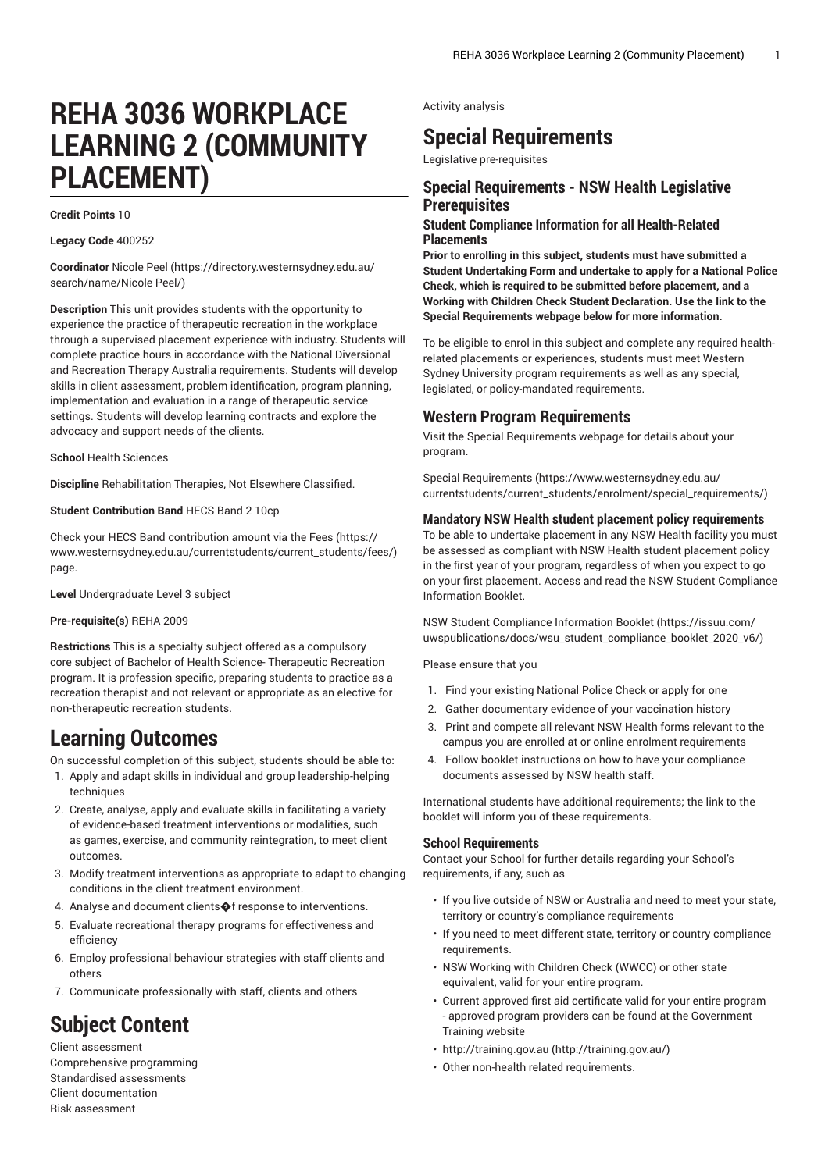# **REHA 3036 WORKPLACE LEARNING 2 (COMMUNITY PLACEMENT)**

#### **Credit Points** 10

**Legacy Code** 400252

**Coordinator** [Nicole](https://directory.westernsydney.edu.au/search/name/Nicole Peel/) Peel [\(https://directory.westernsydney.edu.au/](https://directory.westernsydney.edu.au/search/name/Nicole Peel/) [search/name/Nicole](https://directory.westernsydney.edu.au/search/name/Nicole Peel/) Peel/)

**Description** This unit provides students with the opportunity to experience the practice of therapeutic recreation in the workplace through a supervised placement experience with industry. Students will complete practice hours in accordance with the National Diversional and Recreation Therapy Australia requirements. Students will develop skills in client assessment, problem identification, program planning, implementation and evaluation in a range of therapeutic service settings. Students will develop learning contracts and explore the advocacy and support needs of the clients.

**School** Health Sciences

**Discipline** Rehabilitation Therapies, Not Elsewhere Classified.

**Student Contribution Band** HECS Band 2 10cp

Check your HECS Band contribution amount via the [Fees \(https://](https://www.westernsydney.edu.au/currentstudents/current_students/fees/) [www.westernsydney.edu.au/currentstudents/current\\_students/fees/\)](https://www.westernsydney.edu.au/currentstudents/current_students/fees/) page.

**Level** Undergraduate Level 3 subject

#### **Pre-requisite(s)** [REHA](/search/?P=REHA%202009) 2009

**Restrictions** This is a specialty subject offered as a compulsory core subject of Bachelor of Health Science- Therapeutic Recreation program. It is profession specific, preparing students to practice as a recreation therapist and not relevant or appropriate as an elective for non-therapeutic recreation students.

## **Learning Outcomes**

On successful completion of this subject, students should be able to:

- 1. Apply and adapt skills in individual and group leadership-helping techniques
- 2. Create, analyse, apply and evaluate skills in facilitating a variety of evidence-based treatment interventions or modalities, such as games, exercise, and community reintegration, to meet client outcomes.
- 3. Modify treatment interventions as appropriate to adapt to changing conditions in the client treatment environment.
- 4. Analyse and document clients  $\bigcirc$  f response to interventions.
- 5. Evaluate recreational therapy programs for effectiveness and efficiency
- 6. Employ professional behaviour strategies with staff clients and others
- 7. Communicate professionally with staff, clients and others

## **Subject Content**

Client assessment Comprehensive programming Standardised assessments Client documentation Risk assessment

Activity analysis

## **Special Requirements**

Legislative pre-requisites

#### **Special Requirements - NSW Health Legislative Prerequisites**

#### **Student Compliance Information for all Health-Related Placements**

**Prior to enrolling in this subject, students must have submitted a Student Undertaking Form and undertake to apply for a National Police Check, which is required to be submitted before placement, and a Working with Children Check Student Declaration. Use the link to the Special Requirements webpage below for more information.**

To be eligible to enrol in this subject and complete any required healthrelated placements or experiences, students must meet Western Sydney University program requirements as well as any special, legislated, or policy-mandated requirements.

#### **Western Program Requirements**

Visit the Special Requirements webpage for details about your program.

Special [Requirements \(https://www.westernsydney.edu.au/](https://www.westernsydney.edu.au/currentstudents/current_students/enrolment/special_requirements/) [currentstudents/current\\_students/enrolment/special\\_requirements/](https://www.westernsydney.edu.au/currentstudents/current_students/enrolment/special_requirements/))

#### **Mandatory NSW Health student placement policy requirements**

To be able to undertake placement in any NSW Health facility you must be assessed as compliant with NSW Health student placement policy in the first year of your program, regardless of when you expect to go on your first placement. Access and read the NSW Student Compliance Information Booklet.

[NSW Student Compliance Information Booklet](https://issuu.com/uwspublications/docs/wsu_student_compliance_booklet_2020_v6/) ([https://issuu.com/](https://issuu.com/uwspublications/docs/wsu_student_compliance_booklet_2020_v6/) [uwspublications/docs/wsu\\_student\\_compliance\\_booklet\\_2020\\_v6/](https://issuu.com/uwspublications/docs/wsu_student_compliance_booklet_2020_v6/))

Please ensure that you

- 1. Find your existing National Police Check or apply for one
- 2. Gather documentary evidence of your vaccination history
- 3. Print and compete all relevant NSW Health forms relevant to the campus you are enrolled at or online enrolment requirements
- 4. Follow booklet instructions on how to have your compliance documents assessed by NSW health staff.

International students have additional requirements; the link to the booklet will inform you of these requirements.

#### **School Requirements**

Contact your School for further details regarding your School's requirements, if any, such as

- If you live outside of NSW or Australia and need to meet your state, territory or country's compliance requirements
- If you need to meet different state, territory or country compliance requirements.
- NSW Working with Children Check (WWCC) or other state equivalent, valid for your entire program.
- Current approved first aid certificate valid for your entire program - approved program providers can be found at the Government Training website
- [http://training.gov.au \(http://training.gov.au/\)](http://training.gov.au/)
- Other non-health related requirements.